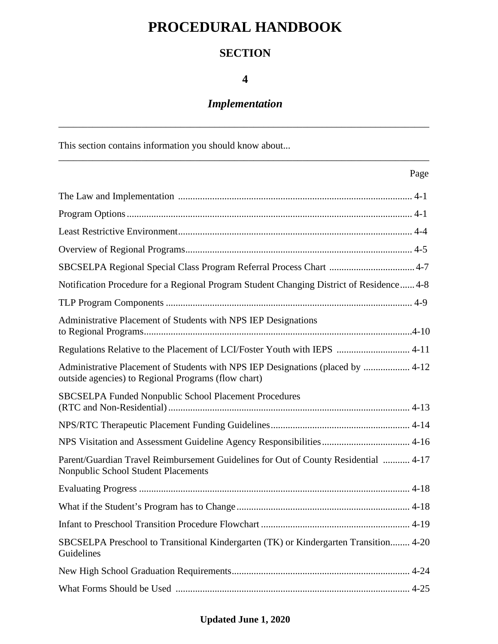# **PROCEDURAL HANDBOOK**

# **SECTION**

## **4**

# *Implementation*

\_\_\_\_\_\_\_\_\_\_\_\_\_\_\_\_\_\_\_\_\_\_\_\_\_\_\_\_\_\_\_\_\_\_\_\_\_\_\_\_\_\_\_\_\_\_\_\_\_\_\_\_\_\_\_\_\_\_\_\_\_\_\_\_\_\_\_\_\_\_\_\_\_\_\_\_

\_\_\_\_\_\_\_\_\_\_\_\_\_\_\_\_\_\_\_\_\_\_\_\_\_\_\_\_\_\_\_\_\_\_\_\_\_\_\_\_\_\_\_\_\_\_\_\_\_\_\_\_\_\_\_\_\_\_\_\_\_\_\_\_\_\_\_\_\_\_\_\_\_\_\_\_

This section contains information you should know about...

### Page

| Notification Procedure for a Regional Program Student Changing District of Residence 4-8                                               |
|----------------------------------------------------------------------------------------------------------------------------------------|
|                                                                                                                                        |
| Administrative Placement of Students with NPS IEP Designations                                                                         |
| Regulations Relative to the Placement of LCI/Foster Youth with IEPS  4-11                                                              |
| Administrative Placement of Students with NPS IEP Designations (placed by  4-12<br>outside agencies) to Regional Programs (flow chart) |
| <b>SBCSELPA Funded Nonpublic School Placement Procedures</b>                                                                           |
|                                                                                                                                        |
| NPS Visitation and Assessment Guideline Agency Responsibilities  4-16                                                                  |
| Parent/Guardian Travel Reimbursement Guidelines for Out of County Residential  4-17<br><b>Nonpublic School Student Placements</b>      |
|                                                                                                                                        |
|                                                                                                                                        |
|                                                                                                                                        |
| SBCSELPA Preschool to Transitional Kindergarten (TK) or Kindergarten Transition 4-20<br>Guidelines                                     |
|                                                                                                                                        |
|                                                                                                                                        |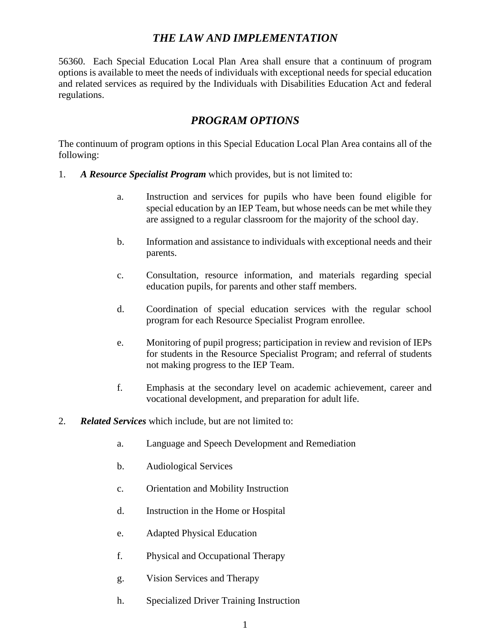### *THE LAW AND IMPLEMENTATION*

56360. Each Special Education Local Plan Area shall ensure that a continuum of program options is available to meet the needs of individuals with exceptional needs for special education and related services as required by the Individuals with Disabilities Education Act and federal regulations.

### *PROGRAM OPTIONS*

The continuum of program options in this Special Education Local Plan Area contains all of the following:

- 1. *A Resource Specialist Program* which provides, but is not limited to:
	- a. Instruction and services for pupils who have been found eligible for special education by an IEP Team, but whose needs can be met while they are assigned to a regular classroom for the majority of the school day.
	- b. Information and assistance to individuals with exceptional needs and their parents.
	- c. Consultation, resource information, and materials regarding special education pupils, for parents and other staff members.
	- d. Coordination of special education services with the regular school program for each Resource Specialist Program enrollee.
	- e. Monitoring of pupil progress; participation in review and revision of IEPs for students in the Resource Specialist Program; and referral of students not making progress to the IEP Team.
	- f. Emphasis at the secondary level on academic achievement, career and vocational development, and preparation for adult life.
- 2. *Related Services* which include, but are not limited to:
	- a. Language and Speech Development and Remediation
	- b. Audiological Services
	- c. Orientation and Mobility Instruction
	- d. Instruction in the Home or Hospital
	- e. Adapted Physical Education
	- f. Physical and Occupational Therapy
	- g. Vision Services and Therapy
	- h. Specialized Driver Training Instruction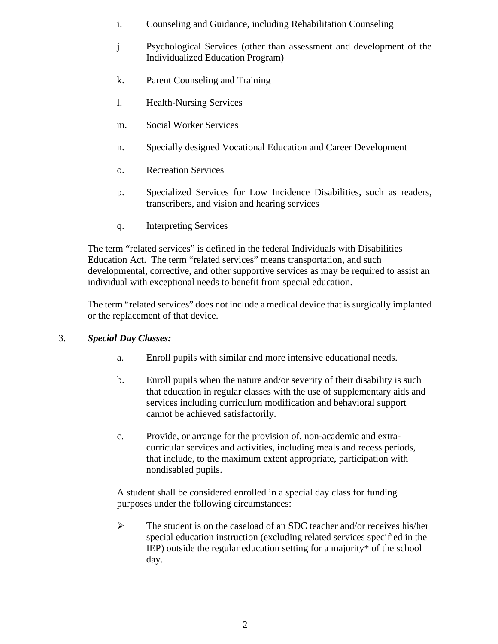- i. Counseling and Guidance, including Rehabilitation Counseling
- j. Psychological Services (other than assessment and development of the Individualized Education Program)
- k. Parent Counseling and Training
- l. Health-Nursing Services
- m. Social Worker Services
- n. Specially designed Vocational Education and Career Development
- o. Recreation Services
- p. Specialized Services for Low Incidence Disabilities, such as readers, transcribers, and vision and hearing services
- q. Interpreting Services

The term "related services" is defined in the federal Individuals with Disabilities Education Act. The term "related services" means transportation, and such developmental, corrective, and other supportive services as may be required to assist an individual with exceptional needs to benefit from special education.

The term "related services" does not include a medical device that is surgically implanted or the replacement of that device.

### 3. *Special Day Classes:*

- a. Enroll pupils with similar and more intensive educational needs.
- b. Enroll pupils when the nature and/or severity of their disability is such that education in regular classes with the use of supplementary aids and services including curriculum modification and behavioral support cannot be achieved satisfactorily.
- c. Provide, or arrange for the provision of, non-academic and extracurricular services and activities, including meals and recess periods, that include, to the maximum extent appropriate, participation with nondisabled pupils.

A student shall be considered enrolled in a special day class for funding purposes under the following circumstances:

 $\triangleright$  The student is on the caseload of an SDC teacher and/or receives his/her special education instruction (excluding related services specified in the IEP) outside the regular education setting for a majority\* of the school day.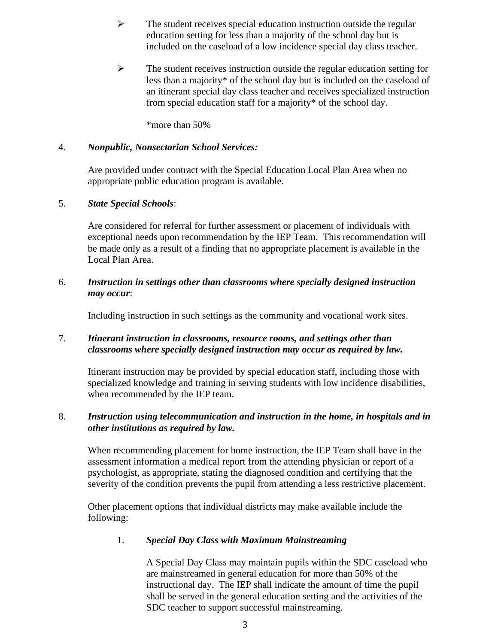- $\triangleright$  The student receives special education instruction outside the regular education setting for less than a majority of the school day but is included on the caseload of a low incidence special day class teacher.
- $\triangleright$  The student receives instruction outside the regular education setting for less than a majority\* of the school day but is included on the caseload of an itinerant special day class teacher and receives specialized instruction from special education staff for a majority\* of the school day.

\*more than 50%

#### 4. *Nonpublic, Nonsectarian School Services:*

Are provided under contract with the Special Education Local Plan Area when no appropriate public education program is available.

#### 5. *State Special Schools*:

Are considered for referral for further assessment or placement of individuals with exceptional needs upon recommendation by the IEP Team. This recommendation will be made only as a result of a finding that no appropriate placement is available in the Local Plan Area.

#### 6. *Instruction in settings other than classrooms where specially designed instruction may occur*:

Including instruction in such settings as the community and vocational work sites.

#### 7. *Itinerant instruction in classrooms, resource rooms, and settings other than classrooms where specially designed instruction may occur as required by law.*

Itinerant instruction may be provided by special education staff, including those with specialized knowledge and training in serving students with low incidence disabilities, when recommended by the IEP team.

#### 8. *Instruction using telecommunication and instruction in the home, in hospitals and in other institutions as required by law.*

When recommending placement for home instruction, the IEP Team shall have in the assessment information a medical report from the attending physician or report of a psychologist, as appropriate, stating the diagnosed condition and certifying that the severity of the condition prevents the pupil from attending a less restrictive placement.

Other placement options that individual districts may make available include the following:

#### 1. *Special Day Class with Maximum Mainstreaming*

A Special Day Class may maintain pupils within the SDC caseload who are mainstreamed in general education for more than 50% of the instructional day. The IEP shall indicate the amount of time the pupil shall be served in the general education setting and the activities of the SDC teacher to support successful mainstreaming.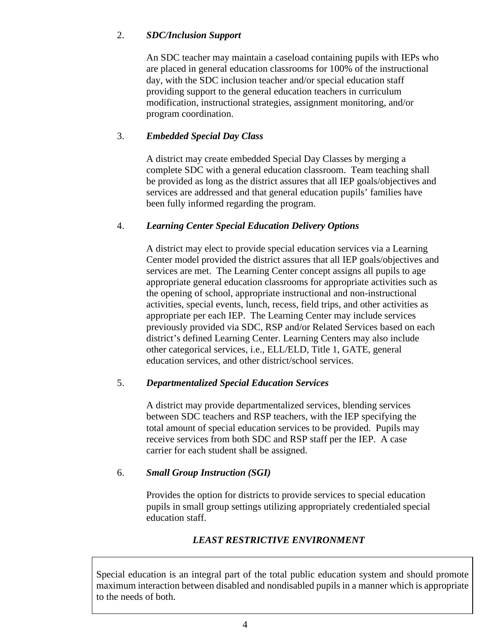### 2. *SDC/Inclusion Support*

An SDC teacher may maintain a caseload containing pupils with IEPs who are placed in general education classrooms for 100% of the instructional day, with the SDC inclusion teacher and/or special education staff providing support to the general education teachers in curriculum modification, instructional strategies, assignment monitoring, and/or program coordination.

### 3. *Embedded Special Day Class*

A district may create embedded Special Day Classes by merging a complete SDC with a general education classroom. Team teaching shall be provided as long as the district assures that all IEP goals/objectives and services are addressed and that general education pupils' families have been fully informed regarding the program.

### 4. *Learning Center Special Education Delivery Options*

A district may elect to provide special education services via a Learning Center model provided the district assures that all IEP goals/objectives and services are met. The Learning Center concept assigns all pupils to age appropriate general education classrooms for appropriate activities such as the opening of school, appropriate instructional and non-instructional activities, special events, lunch, recess, field trips, and other activities as appropriate per each IEP. The Learning Center may include services previously provided via SDC, RSP and/or Related Services based on each district's defined Learning Center. Learning Centers may also include other categorical services, i.e., ELL/ELD, Title 1, GATE, general education services, and other district/school services.

### 5. *Departmentalized Special Education Services*

A district may provide departmentalized services, blending services between SDC teachers and RSP teachers, with the IEP specifying the total amount of special education services to be provided. Pupils may receive services from both SDC and RSP staff per the IEP. A case carrier for each student shall be assigned.

### 6. *Small Group Instruction (SGI)*

Provides the option for districts to provide services to special education pupils in small group settings utilizing appropriately credentialed special education staff.

### *LEAST RESTRICTIVE ENVIRONMENT*

Special education is an integral part of the total public education system and should promote maximum interaction between disabled and nondisabled pupils in a manner which is appropriate to the needs of both.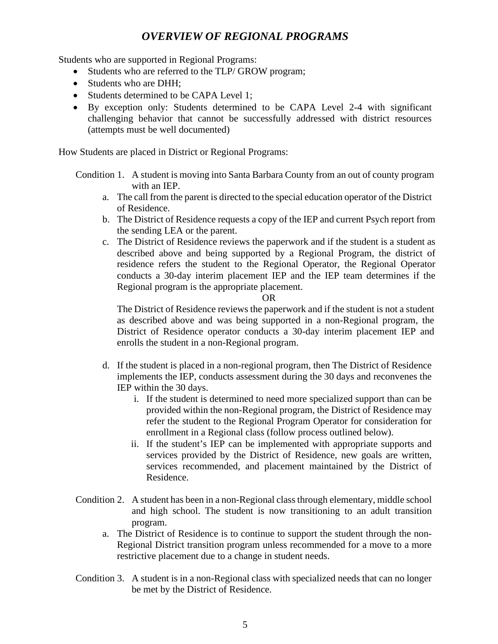### *OVERVIEW OF REGIONAL PROGRAMS*

Students who are supported in Regional Programs:

- Students who are referred to the TLP/ GROW program;
- Students who are DHH:
- Students determined to be CAPA Level 1;
- By exception only: Students determined to be CAPA Level 2-4 with significant challenging behavior that cannot be successfully addressed with district resources (attempts must be well documented)

How Students are placed in District or Regional Programs:

Condition 1. A student is moving into Santa Barbara County from an out of county program with an IEP.

- a. The call from the parent is directed to the special education operator of the District of Residence.
- b. The District of Residence requests a copy of the IEP and current Psych report from the sending LEA or the parent.
- c. The District of Residence reviews the paperwork and if the student is a student as described above and being supported by a Regional Program, the district of residence refers the student to the Regional Operator, the Regional Operator conducts a 30-day interim placement IEP and the IEP team determines if the Regional program is the appropriate placement.

#### OR

The District of Residence reviews the paperwork and if the student is not a student as described above and was being supported in a non-Regional program, the District of Residence operator conducts a 30-day interim placement IEP and enrolls the student in a non-Regional program.

- d. If the student is placed in a non-regional program, then The District of Residence implements the IEP, conducts assessment during the 30 days and reconvenes the IEP within the 30 days.
	- i. If the student is determined to need more specialized support than can be provided within the non-Regional program, the District of Residence may refer the student to the Regional Program Operator for consideration for enrollment in a Regional class (follow process outlined below).
	- ii. If the student's IEP can be implemented with appropriate supports and services provided by the District of Residence, new goals are written, services recommended, and placement maintained by the District of Residence.
- Condition 2. A student has been in a non-Regional class through elementary, middle school and high school. The student is now transitioning to an adult transition program.
	- a. The District of Residence is to continue to support the student through the non-Regional District transition program unless recommended for a move to a more restrictive placement due to a change in student needs.
- Condition 3. A student is in a non-Regional class with specialized needs that can no longer be met by the District of Residence.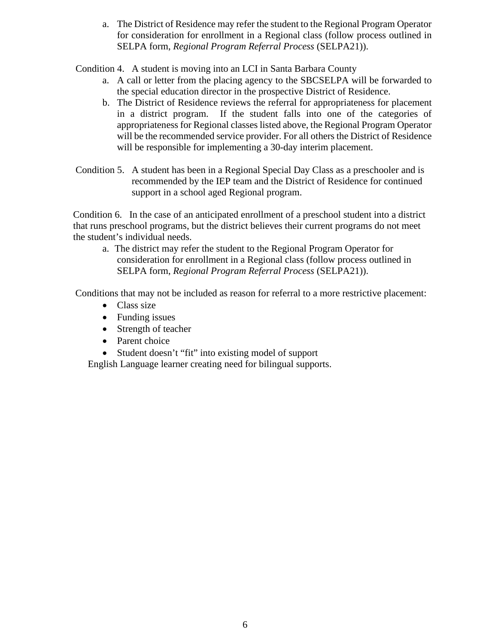a. The District of Residence may refer the student to the Regional Program Operator for consideration for enrollment in a Regional class (follow process outlined in SELPA form, *Regional Program Referral Process* (SELPA21)).

Condition 4. A student is moving into an LCI in Santa Barbara County

- a. A call or letter from the placing agency to the SBCSELPA will be forwarded to the special education director in the prospective District of Residence.
- b. The District of Residence reviews the referral for appropriateness for placement in a district program. If the student falls into one of the categories of appropriateness for Regional classes listed above, the Regional Program Operator will be the recommended service provider. For all others the District of Residence will be responsible for implementing a 30-day interim placement.
- Condition 5. A student has been in a Regional Special Day Class as a preschooler and is recommended by the IEP team and the District of Residence for continued support in a school aged Regional program.

Condition 6. In the case of an anticipated enrollment of a preschool student into a district that runs preschool programs, but the district believes their current programs do not meet the student's individual needs.

a. The district may refer the student to the Regional Program Operator for consideration for enrollment in a Regional class (follow process outlined in SELPA form, *Regional Program Referral Process* (SELPA21)).

Conditions that may not be included as reason for referral to a more restrictive placement:

- Class size
- Funding issues
- Strength of teacher
- Parent choice
- Student doesn't "fit" into existing model of support

English Language learner creating need for bilingual supports.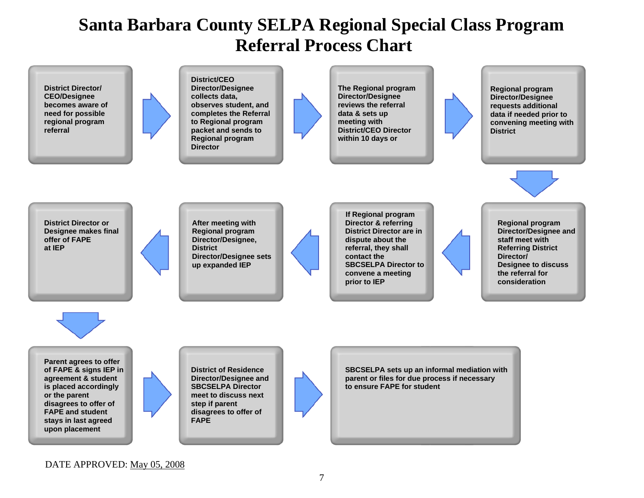# **Santa Barbara County SELPA Regional Special Class Program Referral Process Chart**



### DATE APPROVED: May 05, 2008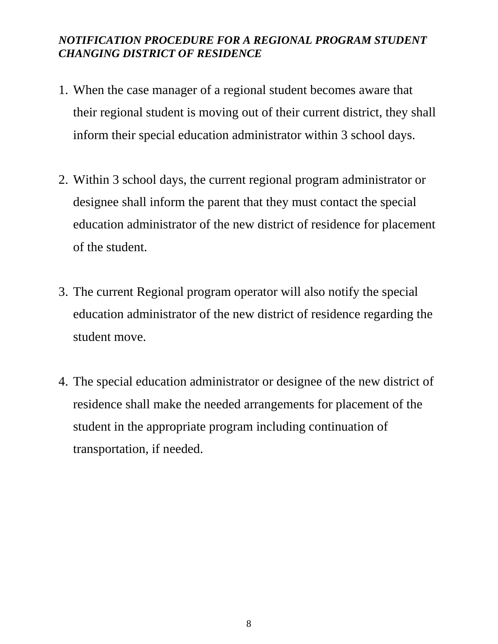# *NOTIFICATION PROCEDURE FOR A REGIONAL PROGRAM STUDENT CHANGING DISTRICT OF RESIDENCE*

- 1. When the case manager of a regional student becomes aware that their regional student is moving out of their current district, they shall inform their special education administrator within 3 school days.
- 2. Within 3 school days, the current regional program administrator or designee shall inform the parent that they must contact the special education administrator of the new district of residence for placement of the student.
- 3. The current Regional program operator will also notify the special education administrator of the new district of residence regarding the student move.
- 4. The special education administrator or designee of the new district of residence shall make the needed arrangements for placement of the student in the appropriate program including continuation of transportation, if needed.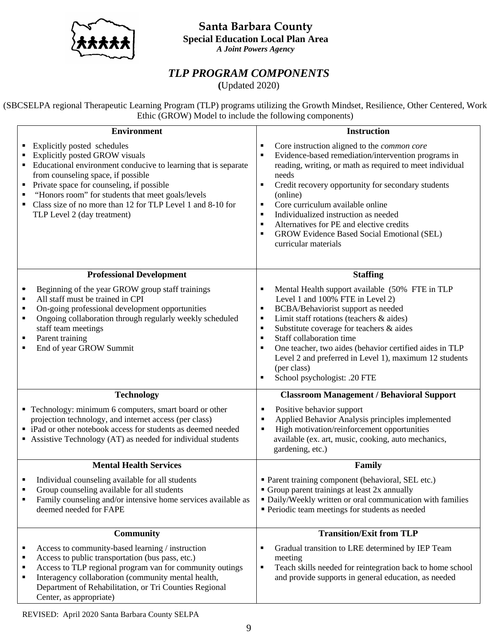**Santa Barbara County**



**Special Education Local Plan Area** *A Joint Powers Agency* 

### *TLP PROGRAM COMPONENTS*

**(**Updated 2020)

(SBCSELPA regional Therapeutic Learning Program (TLP) programs utilizing the Growth Mindset, Resilience, Other Centered, Work Ethic (GROW) Model to include the following components)

| <b>Environment</b>                                                                                                                                                                                                                                                                                                                                                   | <b>Instruction</b>                                                                                                                                                                                                                                                                                                                                                                                                                                                                       |
|----------------------------------------------------------------------------------------------------------------------------------------------------------------------------------------------------------------------------------------------------------------------------------------------------------------------------------------------------------------------|------------------------------------------------------------------------------------------------------------------------------------------------------------------------------------------------------------------------------------------------------------------------------------------------------------------------------------------------------------------------------------------------------------------------------------------------------------------------------------------|
| Explicitly posted schedules<br>Explicitly posted GROW visuals<br>Educational environment conducive to learning that is separate<br>from counseling space, if possible<br>Private space for counseling, if possible<br>"Honors room" for students that meet goals/levels<br>Class size of no more than 12 for TLP Level 1 and 8-10 for<br>TLP Level 2 (day treatment) | Core instruction aligned to the <i>common core</i><br>Б<br>Evidence-based remediation/intervention programs in<br>×<br>reading, writing, or math as required to meet individual<br>needs<br>Credit recovery opportunity for secondary students<br>п<br>(online)<br>Core curriculum available online<br>Б<br>Individualized instruction as needed<br>п<br>Alternatives for PE and elective credits<br>п<br><b>GROW Evidence Based Social Emotional (SEL)</b><br>п<br>curricular materials |
| <b>Professional Development</b>                                                                                                                                                                                                                                                                                                                                      | <b>Staffing</b>                                                                                                                                                                                                                                                                                                                                                                                                                                                                          |
| Beginning of the year GROW group staff trainings<br>$\blacksquare$<br>All staff must be trained in CPI<br>$\blacksquare$<br>On-going professional development opportunities<br>٠<br>Ongoing collaboration through regularly weekly scheduled<br>$\blacksquare$<br>staff team meetings<br>Parent training<br>$\blacksquare$<br>End of year GROW Summit<br>٠           | Mental Health support available (50% FTE in TLP<br>٠<br>Level 1 and 100% FTE in Level 2)<br>BCBA/Behaviorist support as needed<br>٠<br>Limit staff rotations (teachers & aides)<br>٠<br>Substitute coverage for teachers & aides<br>$\blacksquare$<br>Staff collaboration time<br>$\blacksquare$<br>One teacher, two aides (behavior certified aides in TLP<br>п<br>Level 2 and preferred in Level 1), maximum 12 students<br>(per class)<br>School psychologist: .20 FTE<br>٠           |
| <b>Technology</b>                                                                                                                                                                                                                                                                                                                                                    | <b>Classroom Management / Behavioral Support</b>                                                                                                                                                                                                                                                                                                                                                                                                                                         |
| • Technology: minimum 6 computers, smart board or other<br>projection technology, and internet access (per class)<br>• iPad or other notebook access for students as deemed needed<br>• Assistive Technology (AT) as needed for individual students                                                                                                                  | Positive behavior support<br>п<br>Applied Behavior Analysis principles implemented<br>High motivation/reinforcement opportunities<br>available (ex. art, music, cooking, auto mechanics,<br>gardening, etc.)                                                                                                                                                                                                                                                                             |
| <b>Mental Health Services</b>                                                                                                                                                                                                                                                                                                                                        | Family                                                                                                                                                                                                                                                                                                                                                                                                                                                                                   |
| Individual counseling available for all students<br>٠<br>Group counseling available for all students<br>٠<br>Family counseling and/or intensive home services available as<br>deemed needed for FAPE                                                                                                                                                                 | • Parent training component (behavioral, SEL etc.)<br>• Group parent trainings at least 2x annually<br>· Daily/Weekly written or oral communication with families<br>Periodic team meetings for students as needed                                                                                                                                                                                                                                                                       |
| <b>Community</b>                                                                                                                                                                                                                                                                                                                                                     | <b>Transition/Exit from TLP</b>                                                                                                                                                                                                                                                                                                                                                                                                                                                          |
| Access to community-based learning / instruction<br>٠<br>Access to public transportation (bus pass, etc.)<br>٠<br>Access to TLP regional program van for community outings<br>٠<br>Interagency collaboration (community mental health,<br>٠<br>Department of Rehabilitation, or Tri Counties Regional<br>Center, as appropriate)                                     | Gradual transition to LRE determined by IEP Team<br>Б<br>meeting<br>٠<br>Teach skills needed for reintegration back to home school<br>and provide supports in general education, as needed                                                                                                                                                                                                                                                                                               |

REVISED: April 2020 Santa Barbara County SELPA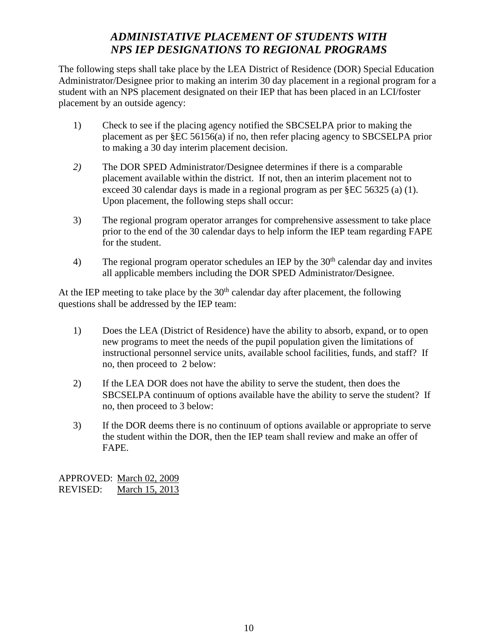# *ADMINISTATIVE PLACEMENT OF STUDENTS WITH NPS IEP DESIGNATIONS TO REGIONAL PROGRAMS*

The following steps shall take place by the LEA District of Residence (DOR) Special Education Administrator/Designee prior to making an interim 30 day placement in a regional program for a student with an NPS placement designated on their IEP that has been placed in an LCI/foster placement by an outside agency:

- 1) Check to see if the placing agency notified the SBCSELPA prior to making the placement as per §EC 56156(a) if no, then refer placing agency to SBCSELPA prior to making a 30 day interim placement decision.
- *2)* The DOR SPED Administrator/Designee determines if there is a comparable placement available within the district. If not, then an interim placement not to exceed 30 calendar days is made in a regional program as per §EC 56325 (a) (1). Upon placement, the following steps shall occur:
- 3) The regional program operator arranges for comprehensive assessment to take place prior to the end of the 30 calendar days to help inform the IEP team regarding FAPE for the student.
- 4) The regional program operator schedules an IEP by the  $30<sup>th</sup>$  calendar day and invites all applicable members including the DOR SPED Administrator/Designee.

At the IEP meeting to take place by the  $30<sup>th</sup>$  calendar day after placement, the following questions shall be addressed by the IEP team:

- 1) Does the LEA (District of Residence) have the ability to absorb, expand, or to open new programs to meet the needs of the pupil population given the limitations of instructional personnel service units, available school facilities, funds, and staff? If no, then proceed to 2 below:
- 2) If the LEA DOR does not have the ability to serve the student, then does the SBCSELPA continuum of options available have the ability to serve the student? If no, then proceed to 3 below:
- 3) If the DOR deems there is no continuum of options available or appropriate to serve the student within the DOR, then the IEP team shall review and make an offer of FAPE.

APPROVED: March 02, 2009<br>REVISED: March 15, 2013 March 15, 2013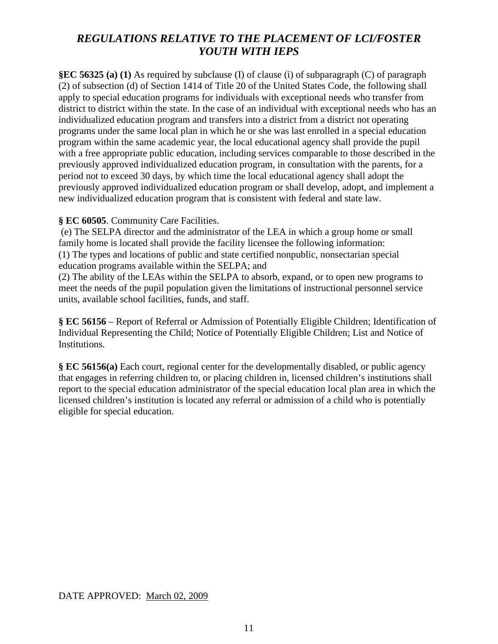## *REGULATIONS RELATIVE TO THE PLACEMENT OF LCI/FOSTER YOUTH WITH IEPS*

**§EC 56325 (a) (1)** As required by subclause (I) of clause (i) of subparagraph (C) of paragraph (2) of subsection (d) of Section 1414 of Title 20 of the United States Code, the following shall apply to special education programs for individuals with exceptional needs who transfer from district to district within the state. In the case of an individual with exceptional needs who has an individualized education program and transfers into a district from a district not operating programs under the same local plan in which he or she was last enrolled in a special education program within the same academic year, the local educational agency shall provide the pupil with a free appropriate public education, including services comparable to those described in the previously approved individualized education program, in consultation with the parents, for a period not to exceed 30 days, by which time the local educational agency shall adopt the previously approved individualized education program or shall develop, adopt, and implement a new individualized education program that is consistent with federal and state law.

#### **§ EC 60505**. Community Care Facilities.

(e) The SELPA director and the administrator of the LEA in which a group home or small family home is located shall provide the facility licensee the following information: (1) The types and locations of public and state certified nonpublic, nonsectarian special education programs available within the SELPA; and

(2) The ability of the LEAs within the SELPA to absorb, expand, or to open new programs to meet the needs of the pupil population given the limitations of instructional personnel service units, available school facilities, funds, and staff.

**§ EC 56156** – Report of Referral or Admission of Potentially Eligible Children; Identification of Individual Representing the Child; Notice of Potentially Eligible Children; List and Notice of Institutions.

**§ EC 56156(a)** Each court, regional center for the developmentally disabled, or public agency that engages in referring children to, or placing children in, licensed children's institutions shall report to the special education administrator of the special education local plan area in which the licensed children's institution is located any referral or admission of a child who is potentially eligible for special education.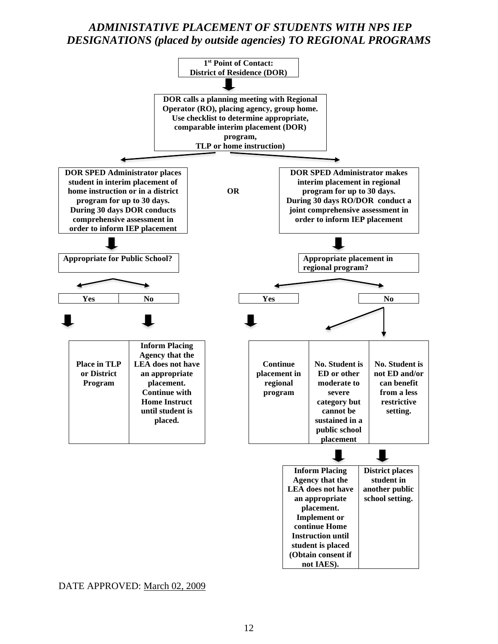### *ADMINISTATIVE PLACEMENT OF STUDENTS WITH NPS IEP DESIGNATIONS (placed by outside agencies) TO REGIONAL PROGRAMS*



DATE APPROVED: March 02, 2009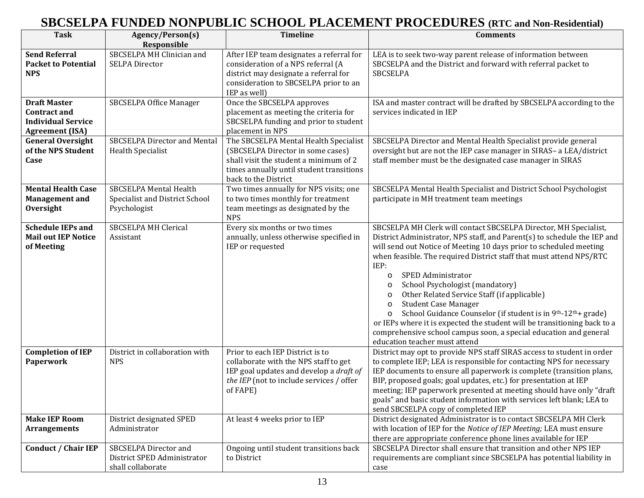# **SBCSELPA FUNDED NONPUBLIC SCHOOL PLACEMENT PROCEDURES (RTC and Non-Residential)**

| <b>Task</b>                                                                                       | Agency/Person(s)<br>Responsible                                                 | <b>Timeline</b>                                                                                                                                                                          | <b>Comments</b>                                                                                                                                                                                                                                                                                                                                                                                                                                                                                                                                                                                                                                                                                                                                   |
|---------------------------------------------------------------------------------------------------|---------------------------------------------------------------------------------|------------------------------------------------------------------------------------------------------------------------------------------------------------------------------------------|---------------------------------------------------------------------------------------------------------------------------------------------------------------------------------------------------------------------------------------------------------------------------------------------------------------------------------------------------------------------------------------------------------------------------------------------------------------------------------------------------------------------------------------------------------------------------------------------------------------------------------------------------------------------------------------------------------------------------------------------------|
| <b>Send Referral</b><br><b>Packet to Potential</b><br><b>NPS</b>                                  | SBCSELPA MH Clinician and<br><b>SELPA Director</b>                              | After IEP team designates a referral for<br>consideration of a NPS referral (A<br>district may designate a referral for<br>consideration to SBCSELPA prior to an<br>IEP as well)         | LEA is to seek two-way parent release of information between<br>SBCSELPA and the District and forward with referral packet to<br><b>SBCSELPA</b>                                                                                                                                                                                                                                                                                                                                                                                                                                                                                                                                                                                                  |
| <b>Draft Master</b><br><b>Contract and</b><br><b>Individual Service</b><br><b>Agreement (ISA)</b> | SBCSELPA Office Manager                                                         | Once the SBCSELPA approves<br>placement as meeting the criteria for<br>SBCSELPA funding and prior to student<br>placement in NPS                                                         | ISA and master contract will be drafted by SBCSELPA according to the<br>services indicated in IEP                                                                                                                                                                                                                                                                                                                                                                                                                                                                                                                                                                                                                                                 |
| <b>General Oversight</b><br>of the NPS Student<br>Case                                            | <b>SBCSELPA Director and Mental</b><br><b>Health Specialist</b>                 | The SBCSELPA Mental Health Specialist<br>(SBCSELPA Director in some cases)<br>shall visit the student a minimum of 2<br>times annually until student transitions<br>back to the District | SBCSELPA Director and Mental Health Specialist provide general<br>oversight but are not the IEP case manager in SIRAS- a LEA/district<br>staff member must be the designated case manager in SIRAS                                                                                                                                                                                                                                                                                                                                                                                                                                                                                                                                                |
| <b>Mental Health Case</b><br><b>Management</b> and<br>Oversight                                   | <b>SBCSELPA Mental Health</b><br>Specialist and District School<br>Psychologist | Two times annually for NPS visits; one<br>to two times monthly for treatment<br>team meetings as designated by the<br><b>NPS</b>                                                         | SBCSELPA Mental Health Specialist and District School Psychologist<br>participate in MH treatment team meetings                                                                                                                                                                                                                                                                                                                                                                                                                                                                                                                                                                                                                                   |
| <b>Schedule IEPs and</b><br><b>Mail out IEP Notice</b><br>of Meeting                              | <b>SBCSELPA MH Clerical</b><br>Assistant                                        | Every six months or two times<br>annually, unless otherwise specified in<br>IEP or requested                                                                                             | SBCSELPA MH Clerk will contact SBCSELPA Director, MH Specialist,<br>District Administrator, NPS staff, and Parent(s) to schedule the IEP and<br>will send out Notice of Meeting 10 days prior to scheduled meeting<br>when feasible. The required District staff that must attend NPS/RTC<br>IEP:<br>SPED Administrator<br>$\circ$<br>School Psychologist (mandatory)<br>$\circ$<br>Other Related Service Staff (if applicable)<br>$\circ$<br><b>Student Case Manager</b><br>$\circ$<br>School Guidance Counselor (if student is in 9th-12th+ grade)<br>$\circ$<br>or IEPs where it is expected the student will be transitioning back to a<br>comprehensive school campus soon, a special education and general<br>education teacher must attend |
| <b>Completion of IEP</b><br>Paperwork                                                             | District in collaboration with<br><b>NPS</b>                                    | Prior to each IEP District is to<br>collaborate with the NPS staff to get<br>IEP goal updates and develop a draft of<br>the IEP (not to include services / offer<br>of FAPE)             | District may opt to provide NPS staff SIRAS access to student in order<br>to complete IEP; LEA is responsible for contacting NPS for necessary<br>IEP documents to ensure all paperwork is complete (transition plans,<br>BIP, proposed goals; goal updates, etc.) for presentation at IEP<br>meeting; IEP paperwork presented at meeting should have only "draft<br>goals" and basic student information with services left blank; LEA to<br>send SBCSELPA copy of completed IEP                                                                                                                                                                                                                                                                 |
| <b>Make IEP Room</b><br><b>Arrangements</b>                                                       | District designated SPED<br>Administrator                                       | At least 4 weeks prior to IEP                                                                                                                                                            | District designated Administrator is to contact SBCSELPA MH Clerk<br>with location of IEP for the Notice of IEP Meeting; LEA must ensure<br>there are appropriate conference phone lines available for IEP                                                                                                                                                                                                                                                                                                                                                                                                                                                                                                                                        |
| <b>Conduct / Chair IEP</b>                                                                        | SBCSELPA Director and<br>District SPED Administrator<br>shall collaborate       | Ongoing until student transitions back<br>to District                                                                                                                                    | SBCSELPA Director shall ensure that transition and other NPS IEP<br>requirements are compliant since SBCSELPA has potential liability in<br>case                                                                                                                                                                                                                                                                                                                                                                                                                                                                                                                                                                                                  |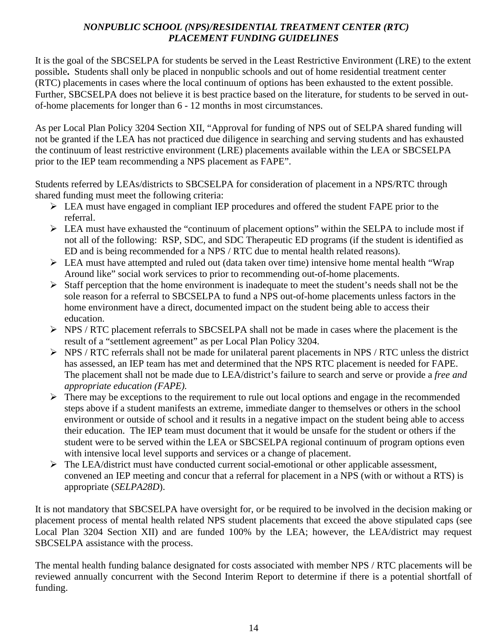### *NONPUBLIC SCHOOL (NPS)/RESIDENTIAL TREATMENT CENTER (RTC) PLACEMENT FUNDING GUIDELINES*

It is the goal of the SBCSELPA for students be served in the Least Restrictive Environment (LRE) to the extent possible**.** Students shall only be placed in nonpublic schools and out of home residential treatment center (RTC) placements in cases where the local continuum of options has been exhausted to the extent possible. Further, SBCSELPA does not believe it is best practice based on the literature, for students to be served in outof-home placements for longer than 6 - 12 months in most circumstances.

As per Local Plan Policy 3204 Section XII, "Approval for funding of NPS out of SELPA shared funding will not be granted if the LEA has not practiced due diligence in searching and serving students and has exhausted the continuum of least restrictive environment (LRE) placements available within the LEA or SBCSELPA prior to the IEP team recommending a NPS placement as FAPE".

Students referred by LEAs/districts to SBCSELPA for consideration of placement in a NPS/RTC through shared funding must meet the following criteria:

- EXTIMUM EXTIMUM EXTIMUM FARE prior to the LEA must have engaged in compliant IEP procedures and offered the student FAPE prior to the referral.
- $\triangleright$  LEA must have exhausted the "continuum of placement options" within the SELPA to include most if not all of the following: RSP, SDC, and SDC Therapeutic ED programs (if the student is identified as ED and is being recommended for a NPS / RTC due to mental health related reasons).
- LEA must have attempted and ruled out (data taken over time) intensive home mental health "Wrap Around like" social work services to prior to recommending out-of-home placements.
- $\triangleright$  Staff perception that the home environment is inadequate to meet the student's needs shall not be the sole reason for a referral to SBCSELPA to fund a NPS out-of-home placements unless factors in the home environment have a direct, documented impact on the student being able to access their education.
- $\triangleright$  NPS / RTC placement referrals to SBCSELPA shall not be made in cases where the placement is the result of a "settlement agreement" as per Local Plan Policy 3204.
- $\triangleright$  NPS / RTC referrals shall not be made for unilateral parent placements in NPS / RTC unless the district has assessed, an IEP team has met and determined that the NPS RTC placement is needed for FAPE. The placement shall not be made due to LEA/district's failure to search and serve or provide a *free and appropriate education (FAPE).*
- $\triangleright$  There may be exceptions to the requirement to rule out local options and engage in the recommended steps above if a student manifests an extreme, immediate danger to themselves or others in the school environment or outside of school and it results in a negative impact on the student being able to access their education. The IEP team must document that it would be unsafe for the student or others if the student were to be served within the LEA or SBCSELPA regional continuum of program options even with intensive local level supports and services or a change of placement.
- $\triangleright$  The LEA/district must have conducted current social-emotional or other applicable assessment, convened an IEP meeting and concur that a referral for placement in a NPS (with or without a RTS) is appropriate (*SELPA28D*).

It is not mandatory that SBCSELPA have oversight for, or be required to be involved in the decision making or placement process of mental health related NPS student placements that exceed the above stipulated caps (see Local Plan 3204 Section XII) and are funded 100% by the LEA; however, the LEA/district may request SBCSELPA assistance with the process.

The mental health funding balance designated for costs associated with member NPS / RTC placements will be reviewed annually concurrent with the Second Interim Report to determine if there is a potential shortfall of funding.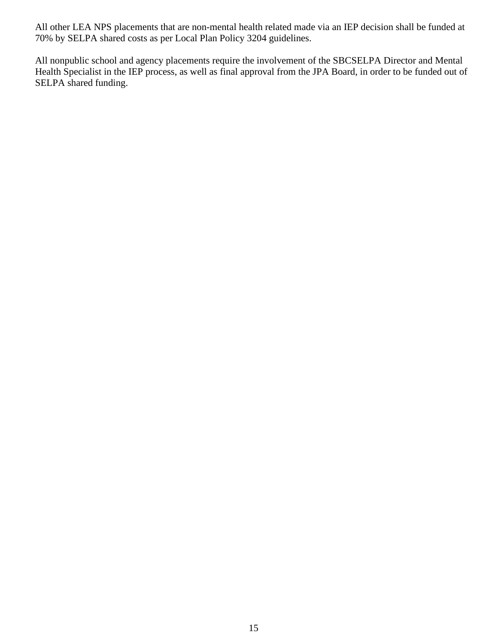All other LEA NPS placements that are non-mental health related made via an IEP decision shall be funded at 70% by SELPA shared costs as per Local Plan Policy 3204 guidelines.

All nonpublic school and agency placements require the involvement of the SBCSELPA Director and Mental Health Specialist in the IEP process, as well as final approval from the JPA Board, in order to be funded out of SELPA shared funding.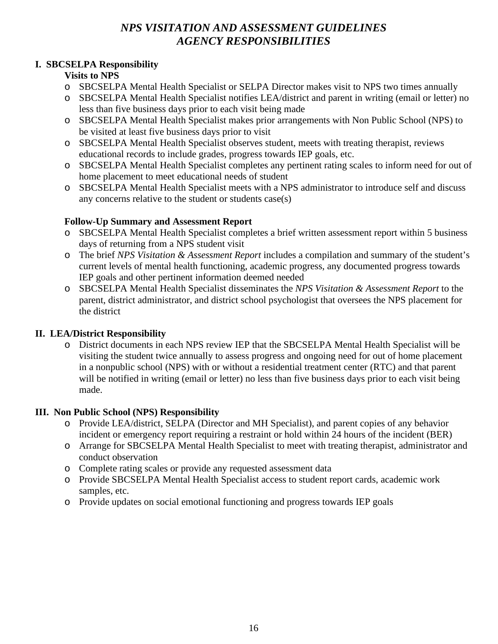### *NPS VISITATION AND ASSESSMENT GUIDELINES AGENCY RESPONSIBILITIES*

### **I. SBCSELPA Responsibility**

### **Visits to NPS**

- o SBCSELPA Mental Health Specialist or SELPA Director makes visit to NPS two times annually
- o SBCSELPA Mental Health Specialist notifies LEA/district and parent in writing (email or letter) no less than five business days prior to each visit being made
- o SBCSELPA Mental Health Specialist makes prior arrangements with Non Public School (NPS) to be visited at least five business days prior to visit
- o SBCSELPA Mental Health Specialist observes student, meets with treating therapist, reviews educational records to include grades, progress towards IEP goals, etc.
- o SBCSELPA Mental Health Specialist completes any pertinent rating scales to inform need for out of home placement to meet educational needs of student
- o SBCSELPA Mental Health Specialist meets with a NPS administrator to introduce self and discuss any concerns relative to the student or students case(s)

### **Follow-Up Summary and Assessment Report**

- o SBCSELPA Mental Health Specialist completes a brief written assessment report within 5 business days of returning from a NPS student visit
- o The brief *NPS Visitation & Assessment Report* includes a compilation and summary of the student's current levels of mental health functioning, academic progress, any documented progress towards IEP goals and other pertinent information deemed needed
- o SBCSELPA Mental Health Specialist disseminates the *NPS Visitation & Assessment Report* to the parent, district administrator, and district school psychologist that oversees the NPS placement for the district

### **II. LEA/District Responsibility**

o District documents in each NPS review IEP that the SBCSELPA Mental Health Specialist will be visiting the student twice annually to assess progress and ongoing need for out of home placement in a nonpublic school (NPS) with or without a residential treatment center (RTC) and that parent will be notified in writing (email or letter) no less than five business days prior to each visit being made.

### **III. Non Public School (NPS) Responsibility**

- o Provide LEA/district, SELPA (Director and MH Specialist), and parent copies of any behavior incident or emergency report requiring a restraint or hold within 24 hours of the incident (BER)
- o Arrange for SBCSELPA Mental Health Specialist to meet with treating therapist, administrator and conduct observation
- o Complete rating scales or provide any requested assessment data
- o Provide SBCSELPA Mental Health Specialist access to student report cards, academic work samples, etc.
- o Provide updates on social emotional functioning and progress towards IEP goals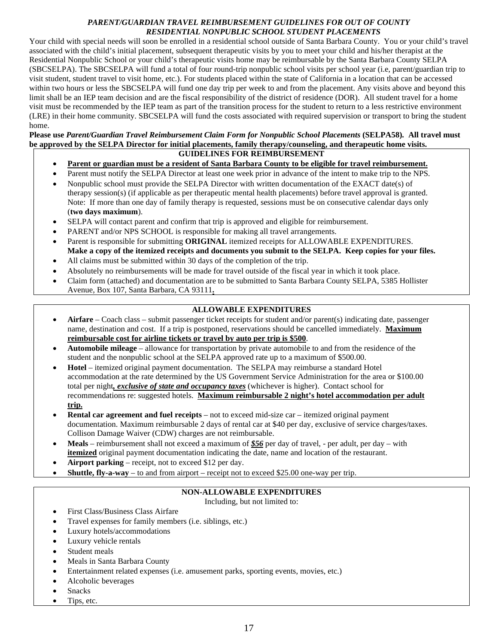#### *PARENT/GUARDIAN TRAVEL REIMBURSEMENT GUIDELINES FOR OUT OF COUNTY RESIDENTIAL NONPUBLIC SCHOOL STUDENT PLACEMENTS*

Your child with special needs will soon be enrolled in a residential school outside of Santa Barbara County. You or your child's travel associated with the child's initial placement, subsequent therapeutic visits by you to meet your child and his/her therapist at the Residential Nonpublic School or your child's therapeutic visits home may be reimbursable by the Santa Barbara County SELPA (SBCSELPA). The SBCSELPA will fund a total of four round-trip nonpublic school visits per school year (i.e, parent/guardian trip to visit student, student travel to visit home, etc.). For students placed within the state of California in a location that can be accessed within two hours or less the SBCSELPA will fund one day trip per week to and from the placement. Any visits above and beyond this limit shall be an IEP team decision and are the fiscal responsibility of the district of residence (DOR). All student travel for a home visit must be recommended by the IEP team as part of the transition process for the student to return to a less restrictive environment (LRE) in their home community. SBCSELPA will fund the costs associated with required supervision or transport to bring the student home.

#### **Please use** *Parent/Guardian Travel Reimbursement Claim Form for Nonpublic School Placements* **(SELPA58)***.* **All travel must be approved by the SELPA Director for initial placements, family therapy/counseling, and therapeutic home visits.**

#### **GUIDELINES FOR REIMBURSEMENT**

- **Parent or guardian must be a resident of Santa Barbara County to be eligible for travel reimbursement.**
- Parent must notify the SELPA Director at least one week prior in advance of the intent to make trip to the NPS.
- Nonpublic school must provide the SELPA Director with written documentation of the EXACT date(s) of therapy session(s) (if applicable as per therapeutic mental health placements) before travel approval is granted. Note: If more than one day of family therapy is requested, sessions must be on consecutive calendar days only (**two days maximum**).
- SELPA will contact parent and confirm that trip is approved and eligible for reimbursement.
- PARENT and/or NPS SCHOOL is responsible for making all travel arrangements.
- Parent is responsible for submitting **ORIGINAL** itemized receipts for ALLOWABLE EXPENDITURES. **Make a copy of the itemized receipts and documents you submit to the SELPA. Keep copies for your files.**
- All claims must be submitted within 30 days of the completion of the trip.
- Absolutely no reimbursements will be made for travel outside of the fiscal year in which it took place.
- Claim form (attached) and documentation are to be submitted to Santa Barbara County SELPA, 5385 Hollister Avenue, Box 107, Santa Barbara, CA 93111**.**

#### **ALLOWABLE EXPENDITURES**

- **Airfare** Coach class submit passenger ticket receipts for student and/or parent(s) indicating date, passenger name, destination and cost. If a trip is postponed, reservations should be cancelled immediately. **Maximum reimbursable cost for airline tickets or travel by auto per trip is \$500**.
- **Automobile mileage** allowance for transportation by private automobile to and from the residence of the student and the nonpublic school at the SELPA approved rate up to a maximum of \$500.00.
- **Hotel** itemized original payment documentation. The SELPA may reimburse a standard Hotel accommodation at the rate determined by the US Government Service Administration for the area or \$100.00 total per night*, exclusive of state and occupancy taxes* (whichever is higher). Contact school for recommendations re: suggested hotels. **Maximum reimbursable 2 night's hotel accommodation per adult trip.**
- **Rental car agreement and fuel receipts** not to exceed mid-size car itemized original payment documentation. Maximum reimbursable 2 days of rental car at \$40 per day, exclusive of service charges/taxes. Collison Damage Waiver (CDW) charges are not reimbursable.
- **Meals** reimbursement shall not exceed a maximum of *\$56* per day of travel, per adult, per day with **itemized** original payment documentation indicating the date, name and location of the restaurant.
- **Airport parking** receipt, not to exceed \$12 per day.
- **Shuttle, fly-a-way**  to and from airport receipt not to exceed \$25.00 one-way per trip.

#### **NON-ALLOWABLE EXPENDITURES**

Including, but not limited to:

- First Class/Business Class Airfare
- Travel expenses for family members (i.e. siblings, etc.)
- Luxury hotels/accommodations
- Luxury vehicle rentals
- Student meals
- Meals in Santa Barbara County
- Entertainment related expenses (i.e. amusement parks, sporting events, movies, etc.)
- Alcoholic beverages
- Snacks
- Tips, etc.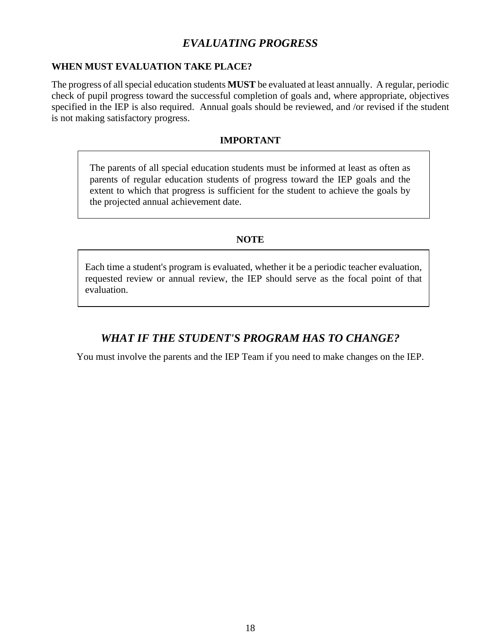### *EVALUATING PROGRESS*

### **WHEN MUST EVALUATION TAKE PLACE?**

The progress of all special education students **MUST** be evaluated at least annually. A regular, periodic check of pupil progress toward the successful completion of goals and, where appropriate, objectives specified in the IEP is also required. Annual goals should be reviewed, and /or revised if the student is not making satisfactory progress.

#### **IMPORTANT**

The parents of all special education students must be informed at least as often as parents of regular education students of progress toward the IEP goals and the extent to which that progress is sufficient for the student to achieve the goals by the projected annual achievement date.

### **NOTE**

Each time a student's program is evaluated, whether it be a periodic teacher evaluation, requested review or annual review, the IEP should serve as the focal point of that evaluation.

### *WHAT IF THE STUDENT'S PROGRAM HAS TO CHANGE?*

You must involve the parents and the IEP Team if you need to make changes on the IEP.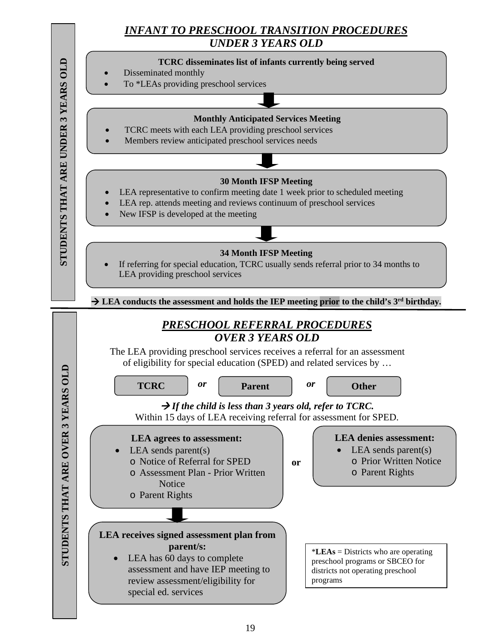### *INFANT TO PRESCHOOL TRANSITION PROCEDURES UNDER 3 YEARS OLD*

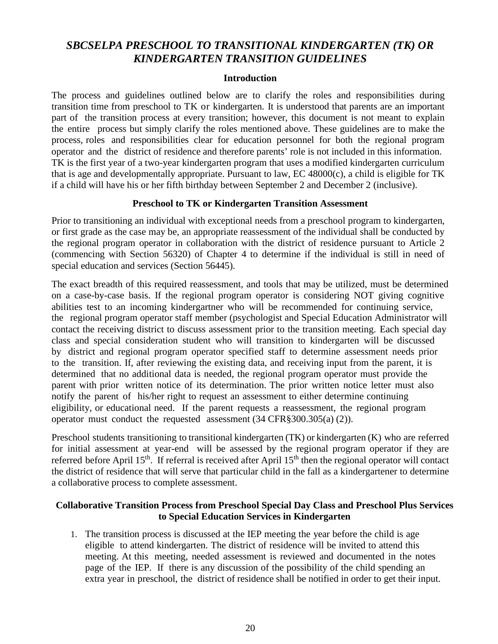### *SBCSELPA PRESCHOOL TO TRANSITIONAL KINDERGARTEN (TK) OR KINDERGARTEN TRANSITION GUIDELINES*

#### **Introduction**

The process and guidelines outlined below are to clarify the roles and responsibilities during transition time from preschool to TK or kindergarten. It is understood that parents are an important part of the transition process at every transition; however, this document is not meant to explain the entire process but simply clarify the roles mentioned above. These guidelines are to make the process, roles and responsibilities clear for education personnel for both the regional program operator and the district of residence and therefore parents' role is not included in this information. TK is the first year of a two-year kindergarten program that uses a modified kindergarten curriculum that is age and developmentally appropriate. Pursuant to law, EC 48000(c), a child is eligible for TK if a child will have his or her fifth birthday between September 2 and December 2 (inclusive).

#### **Preschool to TK or Kindergarten Transition Assessment**

Prior to transitioning an individual with exceptional needs from a preschool program to kindergarten, or first grade as the case may be, an appropriate reassessment of the individual shall be conducted by the regional program operator in collaboration with the district of residence pursuant to Article 2 (commencing with Section 56320) of Chapter 4 to determine if the individual is still in need of special education and services (Section 56445).

The exact breadth of this required reassessment, and tools that may be utilized, must be determined on a case-by-case basis. If the regional program operator is considering NOT giving cognitive abilities test to an incoming kindergartner who will be recommended for continuing service, the regional program operator staff member (psychologist and Special Education Administrator will contact the receiving district to discuss assessment prior to the transition meeting. Each special day class and special consideration student who will transition to kindergarten will be discussed by district and regional program operator specified staff to determine assessment needs prior to the transition. If, after reviewing the existing data, and receiving input from the parent, it is determined that no additional data is needed, the regional program operator must provide the parent with prior written notice of its determination. The prior written notice letter must also notify the parent of his/her right to request an assessment to either determine continuing eligibility, or educational need. If the parent requests a reassessment, the regional program operator must conduct the requested assessment (34 CFR§300.305(a) (2)).

Preschool students transitioning to transitional kindergarten (TK) or kindergarten (K) who are referred for initial assessment at year-end will be assessed by the regional program operator if they are referred before April 15<sup>th</sup>. If referral is received after April 15<sup>th</sup> then the regional operator will contact the district of residence that will serve that particular child in the fall as a kindergartener to determine a collaborative process to complete assessment.

#### **Collaborative Transition Process from Preschool Special Day Class and Preschool Plus Services to Special Education Services in Kindergarten**

1. The transition process is discussed at the IEP meeting the year before the child is age eligible to attend kindergarten. The district of residence will be invited to attend this meeting. At this meeting, needed assessment is reviewed and documented in the notes page of the IEP. If there is any discussion of the possibility of the child spending an extra year in preschool, the district of residence shall be notified in order to get their input.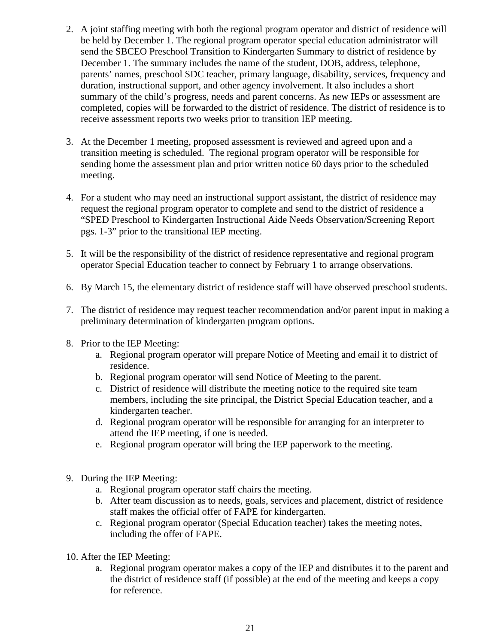- 2. A joint staffing meeting with both the regional program operator and district of residence will be held by December 1. The regional program operator special education administrator will send the SBCEO Preschool Transition to Kindergarten Summary to district of residence by December 1. The summary includes the name of the student, DOB, address, telephone, parents' names, preschool SDC teacher, primary language, disability, services, frequency and duration, instructional support, and other agency involvement. It also includes a short summary of the child's progress, needs and parent concerns. As new IEPs or assessment are completed, copies will be forwarded to the district of residence. The district of residence is to receive assessment reports two weeks prior to transition IEP meeting.
- 3. At the December 1 meeting, proposed assessment is reviewed and agreed upon and a transition meeting is scheduled. The regional program operator will be responsible for sending home the assessment plan and prior written notice 60 days prior to the scheduled meeting.
- 4. For a student who may need an instructional support assistant, the district of residence may request the regional program operator to complete and send to the district of residence a "SPED Preschool to Kindergarten Instructional Aide Needs Observation/Screening Report pgs. 1-3" prior to the transitional IEP meeting.
- 5. It will be the responsibility of the district of residence representative and regional program operator Special Education teacher to connect by February 1 to arrange observations.
- 6. By March 15, the elementary district of residence staff will have observed preschool students.
- 7. The district of residence may request teacher recommendation and/or parent input in making a preliminary determination of kindergarten program options.
- 8. Prior to the IEP Meeting:
	- a. Regional program operator will prepare Notice of Meeting and email it to district of residence.
	- b. Regional program operator will send Notice of Meeting to the parent.
	- c. District of residence will distribute the meeting notice to the required site team members, including the site principal, the District Special Education teacher, and a kindergarten teacher.
	- d. Regional program operator will be responsible for arranging for an interpreter to attend the IEP meeting, if one is needed.
	- e. Regional program operator will bring the IEP paperwork to the meeting.
- 9. During the IEP Meeting:
	- a. Regional program operator staff chairs the meeting.
	- b. After team discussion as to needs, goals, services and placement, district of residence staff makes the official offer of FAPE for kindergarten.
	- c. Regional program operator (Special Education teacher) takes the meeting notes, including the offer of FAPE.
- 10. After the IEP Meeting:
	- a. Regional program operator makes a copy of the IEP and distributes it to the parent and the district of residence staff (if possible) at the end of the meeting and keeps a copy for reference.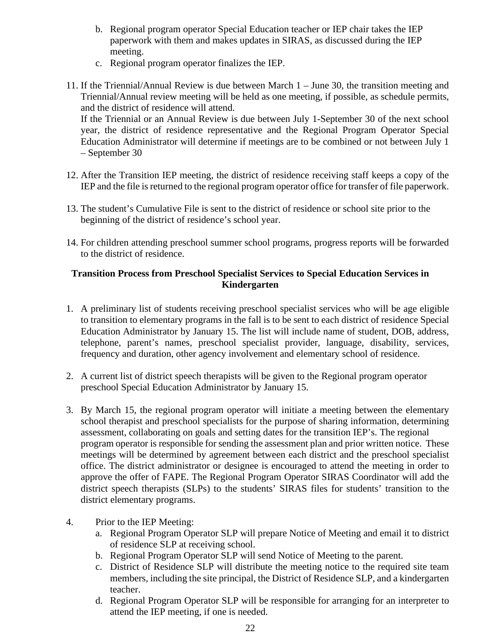- b. Regional program operator Special Education teacher or IEP chair takes the IEP paperwork with them and makes updates in SIRAS, as discussed during the IEP meeting.
- c. Regional program operator finalizes the IEP.
- 11. If the Triennial/Annual Review is due between March 1 June 30, the transition meeting and Triennial/Annual review meeting will be held as one meeting, if possible, as schedule permits, and the district of residence will attend.

If the Triennial or an Annual Review is due between July 1-September 30 of the next school year, the district of residence representative and the Regional Program Operator Special Education Administrator will determine if meetings are to be combined or not between July 1 – September 30

- 12. After the Transition IEP meeting, the district of residence receiving staff keeps a copy of the IEP and the file is returned to the regional program operator office for transfer of file paperwork.
- 13. The student's Cumulative File is sent to the district of residence or school site prior to the beginning of the district of residence's school year.
- 14. For children attending preschool summer school programs, progress reports will be forwarded to the district of residence.

### **Transition Process from Preschool Specialist Services to Special Education Services in Kindergarten**

- 1. A preliminary list of students receiving preschool specialist services who will be age eligible to transition to elementary programs in the fall is to be sent to each district of residence Special Education Administrator by January 15. The list will include name of student, DOB, address, telephone, parent's names, preschool specialist provider, language, disability, services, frequency and duration, other agency involvement and elementary school of residence.
- 2. A current list of district speech therapists will be given to the Regional program operator preschool Special Education Administrator by January 15.
- 3. By March 15, the regional program operator will initiate a meeting between the elementary school therapist and preschool specialists for the purpose of sharing information, determining assessment, collaborating on goals and setting dates for the transition IEP's. The regional program operator is responsible for sending the assessment plan and prior written notice. These meetings will be determined by agreement between each district and the preschool specialist office. The district administrator or designee is encouraged to attend the meeting in order to approve the offer of FAPE. The Regional Program Operator SIRAS Coordinator will add the district speech therapists (SLPs) to the students' SIRAS files for students' transition to the district elementary programs.
- 4. Prior to the IEP Meeting:
	- a. Regional Program Operator SLP will prepare Notice of Meeting and email it to district of residence SLP at receiving school.
	- b. Regional Program Operator SLP will send Notice of Meeting to the parent.
	- c. District of Residence SLP will distribute the meeting notice to the required site team members, including the site principal, the District of Residence SLP, and a kindergarten teacher.
	- d. Regional Program Operator SLP will be responsible for arranging for an interpreter to attend the IEP meeting, if one is needed.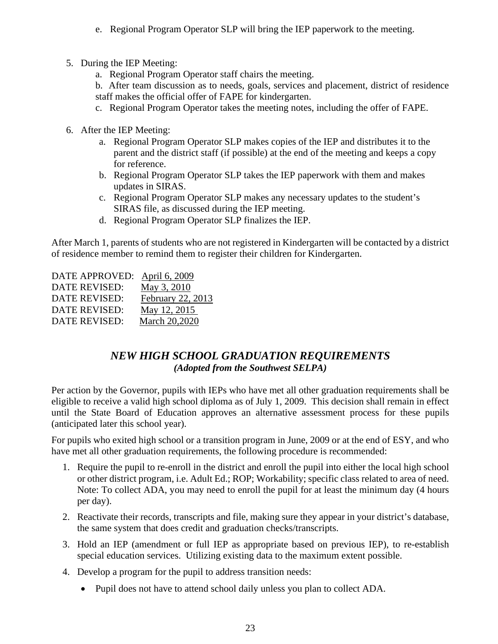- e. Regional Program Operator SLP will bring the IEP paperwork to the meeting.
- 5. During the IEP Meeting:
	- a. Regional Program Operator staff chairs the meeting.

b. After team discussion as to needs, goals, services and placement, district of residence staff makes the official offer of FAPE for kindergarten.

- c. Regional Program Operator takes the meeting notes, including the offer of FAPE.
- 6. After the IEP Meeting:
	- a. Regional Program Operator SLP makes copies of the IEP and distributes it to the parent and the district staff (if possible) at the end of the meeting and keeps a copy for reference.
	- b. Regional Program Operator SLP takes the IEP paperwork with them and makes updates in SIRAS.
	- c. Regional Program Operator SLP makes any necessary updates to the student's SIRAS file, as discussed during the IEP meeting.
	- d. Regional Program Operator SLP finalizes the IEP.

After March 1, parents of students who are not registered in Kindergarten will be contacted by a district of residence member to remind them to register their children for Kindergarten.

| DATE APPROVED: April 6, 2009 |                   |
|------------------------------|-------------------|
| <b>DATE REVISED:</b>         | May 3, 2010       |
| <b>DATE REVISED:</b>         | February 22, 2013 |
| <b>DATE REVISED:</b>         | May 12, 2015      |
| <b>DATE REVISED:</b>         | March 20,2020     |
|                              |                   |

### *NEW HIGH SCHOOL GRADUATION REQUIREMENTS (Adopted from the Southwest SELPA)*

Per action by the Governor, pupils with IEPs who have met all other graduation requirements shall be eligible to receive a valid high school diploma as of July 1, 2009. This decision shall remain in effect until the State Board of Education approves an alternative assessment process for these pupils (anticipated later this school year).

For pupils who exited high school or a transition program in June, 2009 or at the end of ESY, and who have met all other graduation requirements, the following procedure is recommended:

- 1. Require the pupil to re-enroll in the district and enroll the pupil into either the local high school or other district program, i.e. Adult Ed.; ROP; Workability; specific class related to area of need. Note: To collect ADA, you may need to enroll the pupil for at least the minimum day (4 hours per day).
- 2. Reactivate their records, transcripts and file, making sure they appear in your district's database, the same system that does credit and graduation checks/transcripts.
- 3. Hold an IEP (amendment or full IEP as appropriate based on previous IEP), to re-establish special education services. Utilizing existing data to the maximum extent possible.
- 4. Develop a program for the pupil to address transition needs:
	- Pupil does not have to attend school daily unless you plan to collect ADA.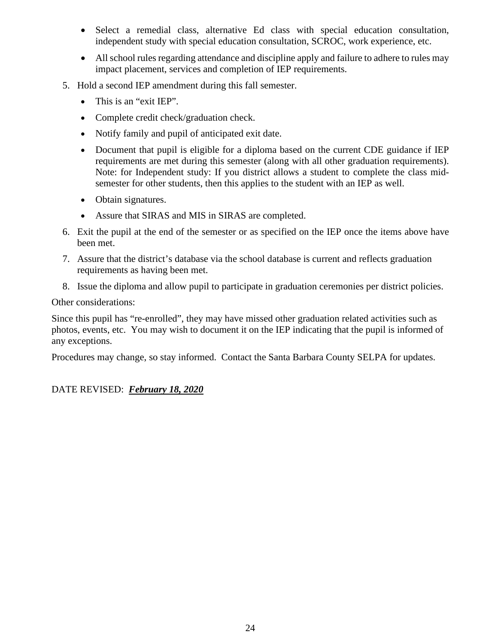- Select a remedial class, alternative Ed class with special education consultation, independent study with special education consultation, SCROC, work experience, etc.
- All school rules regarding attendance and discipline apply and failure to adhere to rules may impact placement, services and completion of IEP requirements.
- 5. Hold a second IEP amendment during this fall semester.
	- This is an "exit IEP".
	- Complete credit check/graduation check.
	- Notify family and pupil of anticipated exit date.
	- Document that pupil is eligible for a diploma based on the current CDE guidance if IEP requirements are met during this semester (along with all other graduation requirements). Note: for Independent study: If you district allows a student to complete the class midsemester for other students, then this applies to the student with an IEP as well.
	- Obtain signatures.
	- Assure that SIRAS and MIS in SIRAS are completed.
- 6. Exit the pupil at the end of the semester or as specified on the IEP once the items above have been met.
- 7. Assure that the district's database via the school database is current and reflects graduation requirements as having been met.
- 8. Issue the diploma and allow pupil to participate in graduation ceremonies per district policies.

### Other considerations:

Since this pupil has "re-enrolled", they may have missed other graduation related activities such as photos, events, etc. You may wish to document it on the IEP indicating that the pupil is informed of any exceptions.

Procedures may change, so stay informed. Contact the Santa Barbara County SELPA for updates.

### DATE REVISED: *February 18, 2020*